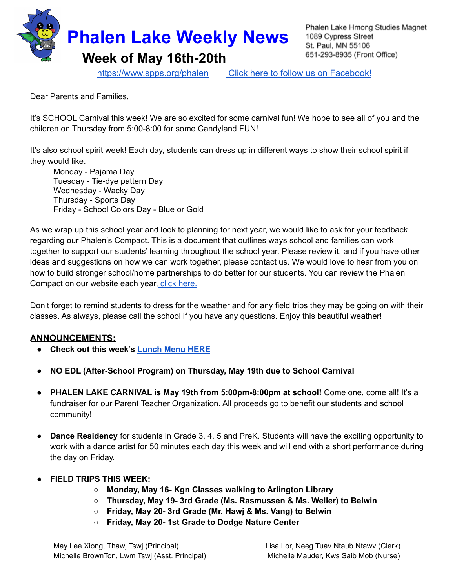

<https://www.spps.org/phalen> Click [here to follow us on Facebook!](https://www.facebook.com/phalenlakehmongstudies/)

Dear Parents and Families,

It's SCHOOL Carnival this week! We are so excited for some carnival fun! We hope to see all of you and the children on Thursday from 5:00-8:00 for some Candyland FUN!

It's also school spirit week! Each day, students can dress up in different ways to show their school spirit if they would like.

Monday - Pajama Day Tuesday - Tie-dye pattern Day Wednesday - Wacky Day Thursday - Sports Day Friday - School Colors Day - Blue or Gold

As we wrap up this school year and look to planning for next year, we would like to ask for your feedback regarding our Phalen's Compact. This is a document that outlines ways school and families can work together to support our students' learning throughout the school year. Please review it, and if you have other ideas and suggestions on how we can work together, please contact us. We would love to hear from you on how to build stronger school/home partnerships to do better for our students. You can review the Phalen Compact on our website each year, click [here.](https://www.spps.org/domain/9393)

Don't forget to remind students to dress for the weather and for any field trips they may be going on with their classes. As always, please call the school if you have any questions. Enjoy this beautiful weather!

## **ANNOUNCEMENTS:**

- **● Check out this week's [Lunch](https://drive.google.com/file/d/1-As3R6Wh7jvOXu4D-nggPGKOvuYOtOqs/view?usp=sharing) Menu HERE**
- **NO EDL (After-School Program) on Thursday, May 19th due to School Carnival**
- **PHALEN LAKE CARNIVAL is May 19th from 5:00pm-8:00pm at school!** Come one, come all! It's a fundraiser for our Parent Teacher Organization. All proceeds go to benefit our students and school community!
- **● Dance Residency** for students in Grade 3, 4, 5 and PreK. Students will have the exciting opportunity to work with a dance artist for 50 minutes each day this week and will end with a short performance during the day on Friday.
- **● FIELD TRIPS THIS WEEK:**
	- **○ Monday, May 16- Kgn Classes walking to Arlington Library**
	- **○ Thursday, May 19- 3rd Grade (Ms. Rasmussen & Ms. Weller) to Belwin**
	- **○ Friday, May 20- 3rd Grade (Mr. Hawj & Ms. Vang) to Belwin**
	- **○ Friday, May 20- 1st Grade to Dodge Nature Center**